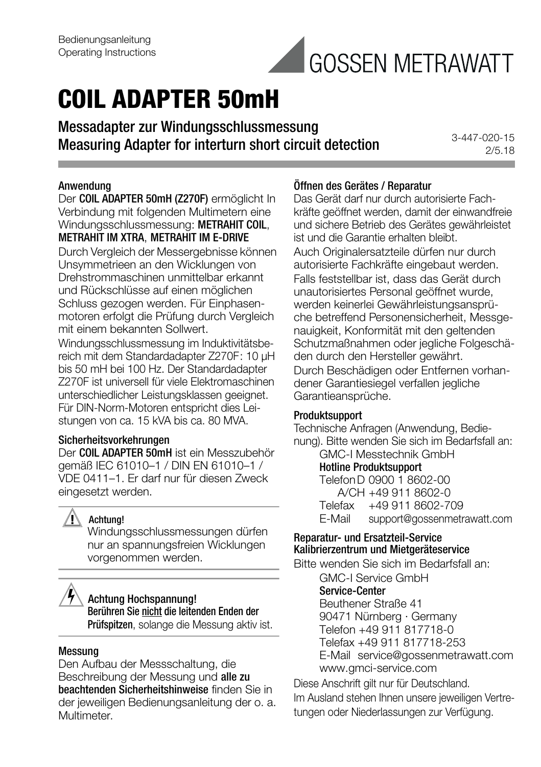

# **COIL ADAPTER 50mH**

Messadapter zur Windungsschlussmessung Measuring Adapter for interturn short circuit detection

3-447-020-15 2/5.18

#### Anwendung

Der COIL ADAPTER 50mH (Z270F) ermöglicht In Verbindung mit folgenden Multimetern eine Windungsschlussmessung: METRAHIT COIL, METRAHIT IM XTRA, METRAHIT IM E-DRIVE

Durch Vergleich der Messergebnisse können Unsymmetrieen an den Wicklungen von Drehstrommaschinen unmittelbar erkannt und Rückschlüsse auf einen möglichen Schluss gezogen werden. Für Einphasenmotoren erfolgt die Prüfung durch Vergleich mit einem bekannten Sollwert.

Windungsschlussmessung im Induktivitätsbereich mit dem Standardadapter Z270F: 10 μH bis 50 mH bei 100 Hz. Der Standardadapter Z270F ist universell für viele Elektromaschinen unterschiedlicher Leistungsklassen geeignet. Für DIN-Norm-Motoren entspricht dies Leistungen von ca. 15 kVA bis ca. 80 MVA.

#### Sicherheitsvorkehrungen

Der COIL ADAPTER 50mH ist ein Messzubehör gemäß IEC 61010–1 / DIN EN 61010–1 / VDE 0411–1. Er darf nur für diesen Zweck eingesetzt werden.

# **!** Achtung!

Windungsschlussmessungen dürfen nur an spannungsfreien Wicklungen vorgenommen werden.

# Achtung Hochspannung!

Berühren Sie nicht die leitenden Enden der Prüfspitzen, solange die Messung aktiv ist.

#### Messung

Den Aufbau der Messschaltung, die Beschreibung der Messung und alle zu beachtenden Sicherheitshinweise finden Sie in der jeweiligen Bedienungsanleitung der o. a. Multimeter.

#### Öffnen des Gerätes / Reparatur

Das Gerät darf nur durch autorisierte Fachkräfte geöffnet werden, damit der einwandfreie und sichere Betrieb des Gerätes gewährleistet ist und die Garantie erhalten bleibt. Auch Originalersatzteile dürfen nur durch autorisierte Fachkräfte eingebaut werden. Falls feststellbar ist, dass das Gerät durch unautorisiertes Personal geöffnet wurde, werden keinerlei Gewährleistungsansprüche betreffend Personensicherheit, Messgenauigkeit, Konformität mit den geltenden Schutzmaßnahmen oder jegliche Folgeschäden durch den Hersteller gewährt.

Durch Beschädigen oder Entfernen vorhandener Garantiesiegel verfallen jegliche Garantieansprüche.

#### Produktsupport

Technische Anfragen (Anwendung, Bedienung). Bitte wenden Sie sich im Bedarfsfall an: GMC-I Messtechnik GmbH

Hotline Produktsupport TelefonD 0900 1 8602-00 A/CH +49 911 8602-0<br>Telefax +49 911 8602-7 Telefax +49 911 8602-709<br>E-Mail support@gossenmetre support@gossenmetrawatt.com

#### Reparatur- und Ersatzteil-Service Kalibrierzentrum und Mietgeräteservice

Bitte wenden Sie sich im Bedarfsfall an:

GMC-I Service GmbH

# Service-Center

Beuthener Straße 41 90471 Nürnberg · Germany Telefon +49 911 817718-0 Telefax +49 911 817718-253 E-Mail service@gossenmetrawatt.com www.gmci-service.com

Diese Anschrift gilt nur für Deutschland. Im Ausland stehen Ihnen unsere jeweiligen Vertretungen oder Niederlassungen zur Verfügung.